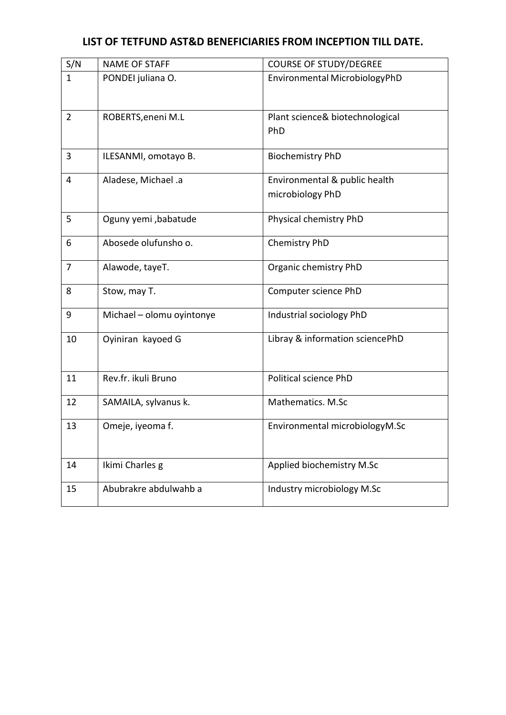## LIST OF TETFUND AST&D BENEFICIARIES FROM INCEPTION TILL DATE.

| S/N            | <b>NAME OF STAFF</b>      | <b>COURSE OF STUDY/DEGREE</b>                     |
|----------------|---------------------------|---------------------------------------------------|
| $\mathbf{1}$   | PONDEI juliana O.         | Environmental MicrobiologyPhD                     |
| $\overline{2}$ | ROBERTS, eneni M.L        | Plant science& biotechnological<br>PhD            |
| 3              | ILESANMI, omotayo B.      | <b>Biochemistry PhD</b>                           |
| 4              | Aladese, Michael .a       | Environmental & public health<br>microbiology PhD |
| 5              | Oguny yemi ,babatude      | Physical chemistry PhD                            |
| 6              | Abosede olufunsho o.      | Chemistry PhD                                     |
| $\overline{7}$ | Alawode, tayeT.           | Organic chemistry PhD                             |
| 8              | Stow, may T.              | Computer science PhD                              |
| 9              | Michael - olomu oyintonye | Industrial sociology PhD                          |
| 10             | Oyiniran kayoed G         | Libray & information sciencePhD                   |
| 11             | Rev.fr. ikuli Bruno       | <b>Political science PhD</b>                      |
| 12             | SAMAILA, sylvanus k.      | Mathematics. M.Sc                                 |
| 13             | Omeje, iyeoma f.          | Environmental microbiologyM.Sc                    |
| 14             | Ikimi Charles g           | Applied biochemistry M.Sc                         |
| 15             | Abubrakre abdulwahb a     | Industry microbiology M.Sc                        |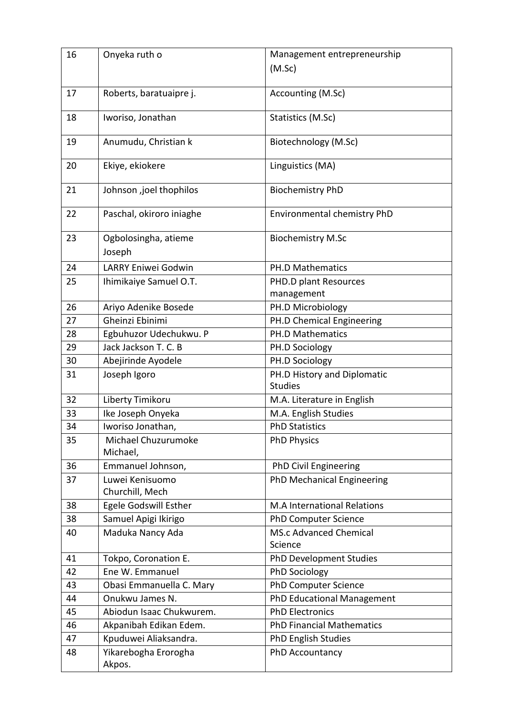| 16 | Onyeka ruth o                      | Management entrepreneurship                   |
|----|------------------------------------|-----------------------------------------------|
|    |                                    | (M.Sc)                                        |
|    |                                    |                                               |
| 17 | Roberts, baratuaipre j.            | Accounting (M.Sc)                             |
| 18 | Iworiso, Jonathan                  | Statistics (M.Sc)                             |
|    |                                    |                                               |
| 19 | Anumudu, Christian k               | Biotechnology (M.Sc)                          |
| 20 | Ekiye, ekiokere                    | Linguistics (MA)                              |
|    |                                    |                                               |
| 21 | Johnson ,joel thophilos            | <b>Biochemistry PhD</b>                       |
| 22 | Paschal, okiroro iniaghe           | Environmental chemistry PhD                   |
|    |                                    |                                               |
| 23 | Ogbolosingha, atieme               | <b>Biochemistry M.Sc</b>                      |
|    | Joseph                             |                                               |
| 24 | LARRY Eniwei Godwin                | PH.D Mathematics                              |
| 25 | Ihimikaiye Samuel O.T.             | PHD.D plant Resources                         |
|    |                                    | management                                    |
| 26 | Ariyo Adenike Bosede               | PH.D Microbiology                             |
| 27 | Gheinzi Ebinimi                    | PH.D Chemical Engineering                     |
| 28 | Egbuhuzor Udechukwu. P             | <b>PH.D Mathematics</b>                       |
| 29 | Jack Jackson T. C. B               | PH.D Sociology                                |
| 30 | Abejirinde Ayodele                 | PH.D Sociology                                |
| 31 | Joseph Igoro                       | PH.D History and Diplomatic<br><b>Studies</b> |
| 32 | Liberty Timikoru                   | M.A. Literature in English                    |
| 33 | Ike Joseph Onyeka                  | M.A. English Studies                          |
| 34 | Iworiso Jonathan,                  | <b>PhD Statistics</b>                         |
| 35 | Michael Chuzurumoke<br>Michael,    | <b>PhD Physics</b>                            |
| 36 | Emmanuel Johnson,                  | PhD Civil Engineering                         |
| 37 | Luwei Kenisuomo<br>Churchill, Mech | PhD Mechanical Engineering                    |
| 38 | <b>Egele Godswill Esther</b>       | M.A International Relations                   |
| 38 | Samuel Apigi Ikirigo               | <b>PhD Computer Science</b>                   |
| 40 | Maduka Nancy Ada                   | <b>MS.c Advanced Chemical</b><br>Science      |
| 41 | Tokpo, Coronation E.               | PhD Development Studies                       |
| 42 | Ene W. Emmanuel                    | PhD Sociology                                 |
| 43 | Obasi Emmanuella C. Mary           | <b>PhD Computer Science</b>                   |
| 44 | Onukwu James N.                    | PhD Educational Management                    |
| 45 | Abiodun Isaac Chukwurem.           | <b>PhD Electronics</b>                        |
| 46 | Akpanibah Edikan Edem.             | <b>PhD Financial Mathematics</b>              |
| 47 | Kpuduwei Aliaksandra.              | <b>PhD English Studies</b>                    |
| 48 | Yikarebogha Erorogha<br>Akpos.     | PhD Accountancy                               |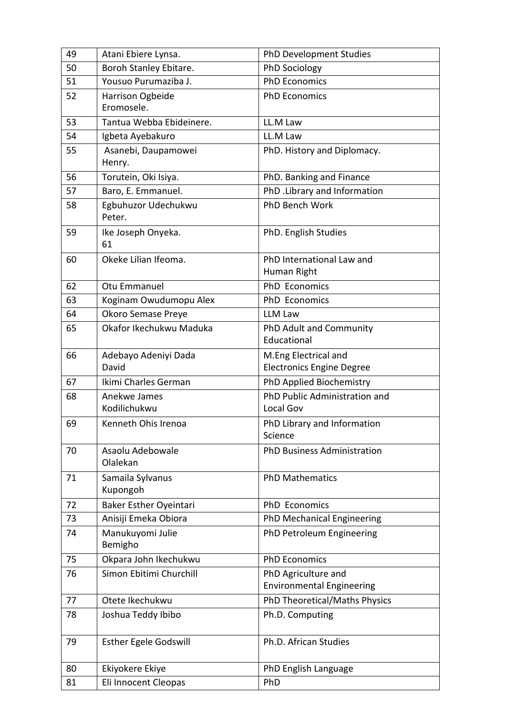| 49 | Atani Ebiere Lynsa.            | <b>PhD Development Studies</b>                           |
|----|--------------------------------|----------------------------------------------------------|
| 50 | Boroh Stanley Ebitare.         | PhD Sociology                                            |
| 51 | Yousuo Purumaziba J.           | <b>PhD Economics</b>                                     |
| 52 | Harrison Ogbeide<br>Eromosele. | <b>PhD Economics</b>                                     |
| 53 | Tantua Webba Ebideinere.       | LL.M Law                                                 |
| 54 | Igbeta Ayebakuro               | LL.M Law                                                 |
| 55 | Asanebi, Daupamowei<br>Henry.  | PhD. History and Diplomacy.                              |
| 56 | Torutein, Oki Isiya.           | PhD. Banking and Finance                                 |
| 57 | Baro, E. Emmanuel.             | PhD . Library and Information                            |
| 58 | Egbuhuzor Udechukwu<br>Peter.  | PhD Bench Work                                           |
| 59 | Ike Joseph Onyeka.<br>61       | PhD. English Studies                                     |
| 60 | Okeke Lilian Ifeoma.           | PhD International Law and<br>Human Right                 |
| 62 | Otu Emmanuel                   | PhD Economics                                            |
| 63 | Koginam Owudumopu Alex         | <b>PhD</b> Economics                                     |
| 64 | Okoro Semase Preye             | LLM Law                                                  |
| 65 | Okafor Ikechukwu Maduka        | PhD Adult and Community<br>Educational                   |
| 66 | Adebayo Adeniyi Dada<br>David  | M.Eng Electrical and<br><b>Electronics Engine Degree</b> |
| 67 | Ikimi Charles German           | PhD Applied Biochemistry                                 |
| 68 | Anekwe James<br>Kodilichukwu   | PhD Public Administration and<br>Local Gov               |
| 69 | Kenneth Ohis Irenoa            | PhD Library and Information<br>Science                   |
| 70 | Asaolu Adebowale<br>Olalekan   | <b>PhD Business Administration</b>                       |
| 71 | Samaila Sylvanus<br>Kupongoh   | <b>PhD Mathematics</b>                                   |
| 72 | <b>Baker Esther Oyeintari</b>  | <b>PhD</b> Economics                                     |
| 73 | Anisiji Emeka Obiora           | PhD Mechanical Engineering                               |
| 74 | Manukuyomi Julie<br>Bemigho    | PhD Petroleum Engineering                                |
| 75 | Okpara John Ikechukwu          | <b>PhD Economics</b>                                     |
| 76 | Simon Ebitimi Churchill        | PhD Agriculture and<br><b>Environmental Engineering</b>  |
| 77 | Otete Ikechukwu                | PhD Theoretical/Maths Physics                            |
| 78 | Joshua Teddy Ibibo             | Ph.D. Computing                                          |
| 79 | <b>Esther Egele Godswill</b>   | Ph.D. African Studies                                    |
| 80 | Ekiyokere Ekiye                | PhD English Language                                     |
| 81 | Eli Innocent Cleopas           | PhD                                                      |